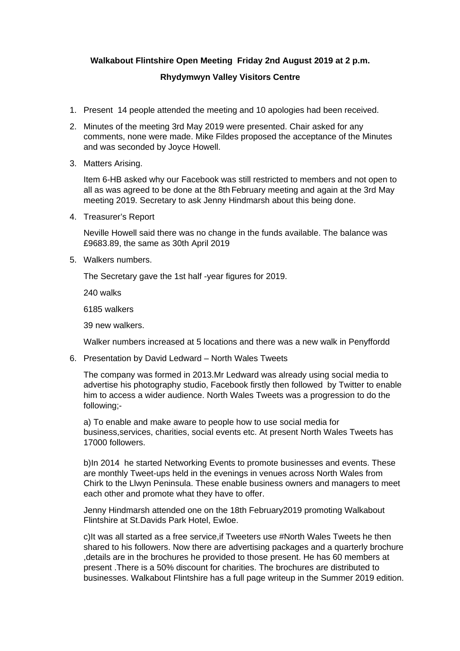## **Walkabout Flintshire Open Meeting Friday 2nd August 2019 at 2 p.m.**

## **Rhydymwyn Valley Visitors Centre**

- 1. Present 14 people attended the meeting and 10 apologies had been received.
- 2. Minutes of the meeting 3rd May 2019 were presented. Chair asked for any comments, none were made. Mike Fildes proposed the acceptance of the Minutes and was seconded by Joyce Howell.
- 3. Matters Arising.

Item 6-HB asked why our Facebook was still restricted to members and not open to all as was agreed to be done at the 8th February meeting and again at the 3rd May meeting 2019. Secretary to ask Jenny Hindmarsh about this being done.

4. Treasurer's Report

Neville Howell said there was no change in the funds available. The balance was £9683.89, the same as 30th April 2019

5. Walkers numbers.

The Secretary gave the 1st half -year figures for 2019.

240 walks

6185 walkers

39 new walkers.

Walker numbers increased at 5 locations and there was a new walk in Penyffordd

6. Presentation by David Ledward – North Wales Tweets

The company was formed in 2013.Mr Ledward was already using social media to advertise his photography studio, Facebook firstly then followed by Twitter to enable him to access a wider audience. North Wales Tweets was a progression to do the following;-

a) To enable and make aware to people how to use social media for business,services, charities, social events etc. At present North Wales Tweets has 17000 followers.

b)In 2014 he started Networking Events to promote businesses and events. These are monthly Tweet-ups held in the evenings in venues across North Wales from Chirk to the Llwyn Peninsula. These enable business owners and managers to meet each other and promote what they have to offer.

Jenny Hindmarsh attended one on the 18th February2019 promoting Walkabout Flintshire at St.Davids Park Hotel, Ewloe.

c)It was all started as a free service,if Tweeters use #North Wales Tweets he then shared to his followers. Now there are advertising packages and a quarterly brochure ,details are in the brochures he provided to those present. He has 60 members at present .There is a 50% discount for charities. The brochures are distributed to businesses. Walkabout Flintshire has a full page writeup in the Summer 2019 edition.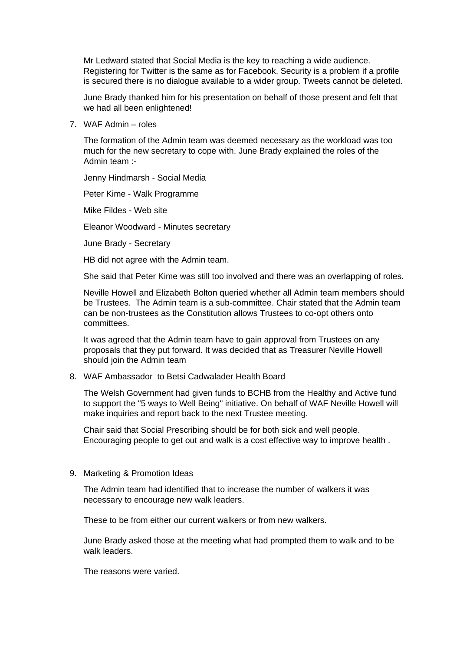Mr Ledward stated that Social Media is the key to reaching a wide audience. Registering for Twitter is the same as for Facebook. Security is a problem if a profile is secured there is no dialogue available to a wider group. Tweets cannot be deleted.

June Brady thanked him for his presentation on behalf of those present and felt that we had all been enlightened!

7. WAF Admin – roles

The formation of the Admin team was deemed necessary as the workload was too much for the new secretary to cope with. June Brady explained the roles of the Admin team :-

Jenny Hindmarsh - Social Media

Peter Kime - Walk Programme

Mike Fildes - Web site

Eleanor Woodward - Minutes secretary

June Brady - Secretary

HB did not agree with the Admin team.

She said that Peter Kime was still too involved and there was an overlapping of roles.

Neville Howell and Elizabeth Bolton queried whether all Admin team members should be Trustees. The Admin team is a sub-committee. Chair stated that the Admin team can be non-trustees as the Constitution allows Trustees to co-opt others onto committees.

It was agreed that the Admin team have to gain approval from Trustees on any proposals that they put forward. It was decided that as Treasurer Neville Howell should join the Admin team

## 8. WAF Ambassador to Betsi Cadwalader Health Board

The Welsh Government had given funds to BCHB from the Healthy and Active fund to support the "5 ways to Well Being" initiative. On behalf of WAF Neville Howell will make inquiries and report back to the next Trustee meeting.

Chair said that Social Prescribing should be for both sick and well people. Encouraging people to get out and walk is a cost effective way to improve health .

9. Marketing & Promotion Ideas

The Admin team had identified that to increase the number of walkers it was necessary to encourage new walk leaders.

These to be from either our current walkers or from new walkers.

June Brady asked those at the meeting what had prompted them to walk and to be walk leaders.

The reasons were varied.